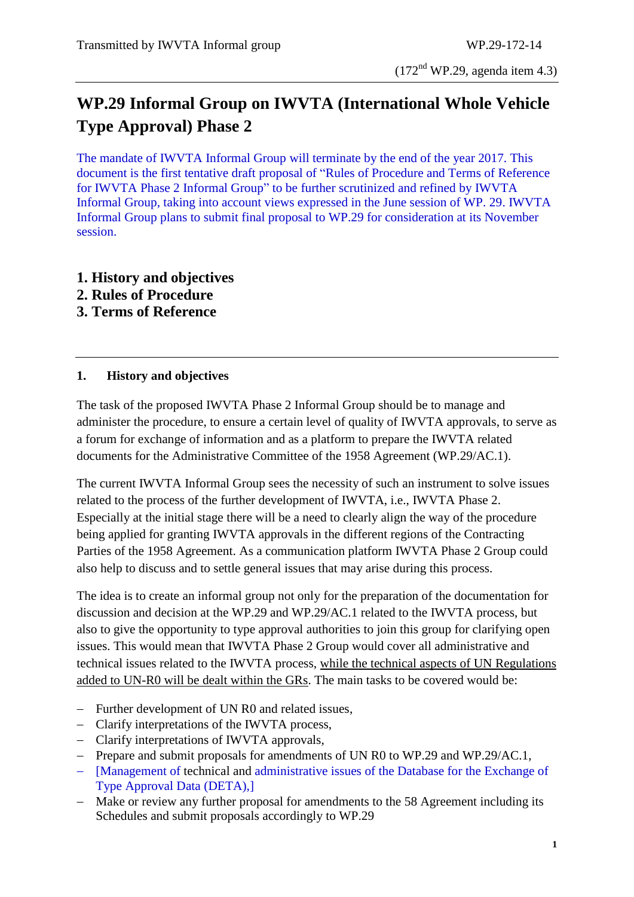## **WP.29 Informal Group on IWVTA (International Whole Vehicle Type Approval) Phase 2**

The mandate of IWVTA Informal Group will terminate by the end of the year 2017. This document is the first tentative draft proposal of "Rules of Procedure and Terms of Reference for IWVTA Phase 2 Informal Group" to be further scrutinized and refined by IWVTA Informal Group, taking into account views expressed in the June session of WP. 29. IWVTA Informal Group plans to submit final proposal to WP.29 for consideration at its November session.

- **1. History and objectives**
- **2. Rules of Procedure**
- **3. Terms of Reference**

## **1. History and objectives**

The task of the proposed IWVTA Phase 2 Informal Group should be to manage and administer the procedure, to ensure a certain level of quality of IWVTA approvals, to serve as a forum for exchange of information and as a platform to prepare the IWVTA related documents for the Administrative Committee of the 1958 Agreement (WP.29/AC.1).

The current IWVTA Informal Group sees the necessity of such an instrument to solve issues related to the process of the further development of IWVTA, i.e., IWVTA Phase 2. Especially at the initial stage there will be a need to clearly align the way of the procedure being applied for granting IWVTA approvals in the different regions of the Contracting Parties of the 1958 Agreement. As a communication platform IWVTA Phase 2 Group could also help to discuss and to settle general issues that may arise during this process.

The idea is to create an informal group not only for the preparation of the documentation for discussion and decision at the WP.29 and WP.29/AC.1 related to the IWVTA process, but also to give the opportunity to type approval authorities to join this group for clarifying open issues. This would mean that IWVTA Phase 2 Group would cover all administrative and technical issues related to the IWVTA process, while the technical aspects of UN Regulations added to UN-R0 will be dealt within the GRs. The main tasks to be covered would be:

- Further development of UN R0 and related issues.
- Clarify interpretations of the IWVTA process,
- Clarify interpretations of IWVTA approvals,
- Prepare and submit proposals for amendments of UN R0 to WP.29 and WP.29/AC.1,
- [Management of technical and administrative issues of the Database for the Exchange of Type Approval Data (DETA),]
- Make or review any further proposal for amendments to the 58 Agreement including its Schedules and submit proposals accordingly to WP.29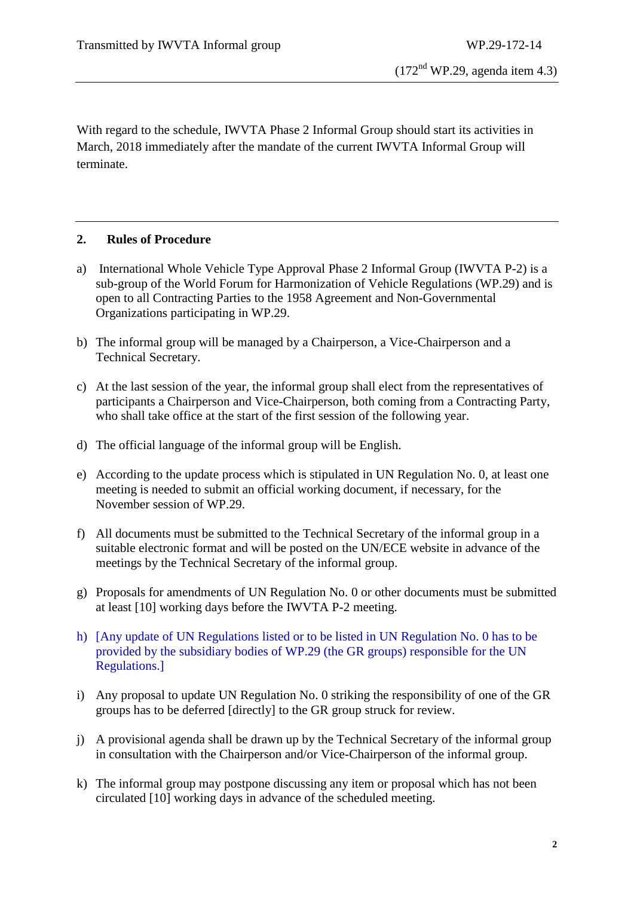With regard to the schedule, IWVTA Phase 2 Informal Group should start its activities in March, 2018 immediately after the mandate of the current IWVTA Informal Group will terminate.

## **2. Rules of Procedure**

- a) International Whole Vehicle Type Approval Phase 2 Informal Group (IWVTA P-2) is a sub-group of the World Forum for Harmonization of Vehicle Regulations (WP.29) and is open to all Contracting Parties to the 1958 Agreement and Non-Governmental Organizations participating in WP.29.
- b) The informal group will be managed by a Chairperson, a Vice-Chairperson and a Technical Secretary.
- c) At the last session of the year, the informal group shall elect from the representatives of participants a Chairperson and Vice-Chairperson, both coming from a Contracting Party, who shall take office at the start of the first session of the following year.
- d) The official language of the informal group will be English.
- e) According to the update process which is stipulated in UN Regulation No. 0, at least one meeting is needed to submit an official working document, if necessary, for the November session of WP.29.
- f) All documents must be submitted to the Technical Secretary of the informal group in a suitable electronic format and will be posted on the UN/ECE website in advance of the meetings by the Technical Secretary of the informal group.
- g) Proposals for amendments of UN Regulation No. 0 or other documents must be submitted at least [10] working days before the IWVTA P-2 meeting.
- h) [Any update of UN Regulations listed or to be listed in UN Regulation No. 0 has to be provided by the subsidiary bodies of WP.29 (the GR groups) responsible for the UN Regulations.]
- i) Any proposal to update UN Regulation No. 0 striking the responsibility of one of the GR groups has to be deferred [directly] to the GR group struck for review.
- j) A provisional agenda shall be drawn up by the Technical Secretary of the informal group in consultation with the Chairperson and/or Vice-Chairperson of the informal group.
- k) The informal group may postpone discussing any item or proposal which has not been circulated [10] working days in advance of the scheduled meeting.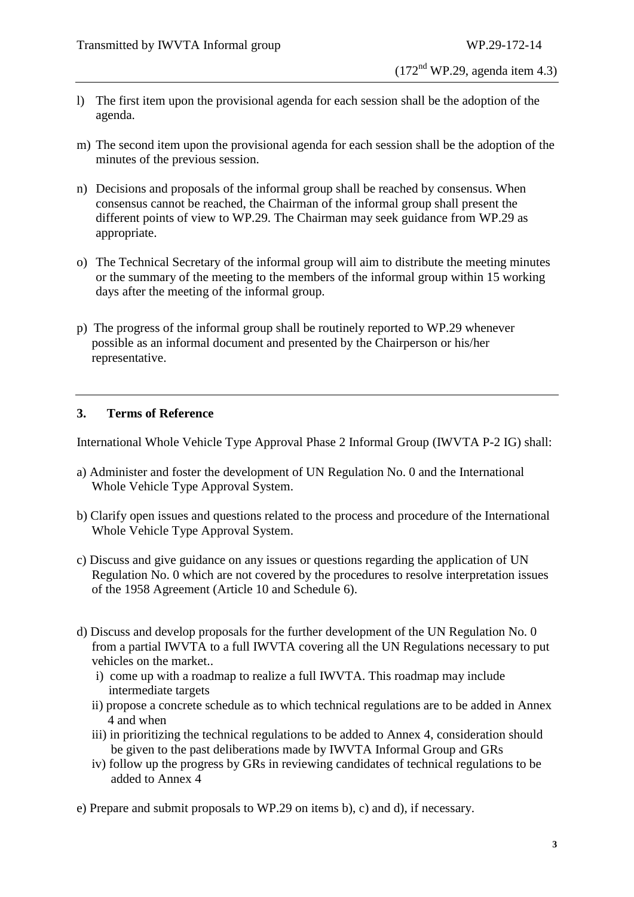- $(172<sup>nd</sup> WP.29, agenda item 4.3)$
- l) The first item upon the provisional agenda for each session shall be the adoption of the agenda.
- m) The second item upon the provisional agenda for each session shall be the adoption of the minutes of the previous session.
- n) Decisions and proposals of the informal group shall be reached by consensus. When consensus cannot be reached, the Chairman of the informal group shall present the different points of view to WP.29. The Chairman may seek guidance from WP.29 as appropriate.
- o) The Technical Secretary of the informal group will aim to distribute the meeting minutes or the summary of the meeting to the members of the informal group within 15 working days after the meeting of the informal group.
- p) The progress of the informal group shall be routinely reported to WP.29 whenever possible as an informal document and presented by the Chairperson or his/her representative.

## **3. Terms of Reference**

International Whole Vehicle Type Approval Phase 2 Informal Group (IWVTA P-2 IG) shall:

- a) Administer and foster the development of UN Regulation No. 0 and the International Whole Vehicle Type Approval System.
- b) Clarify open issues and questions related to the process and procedure of the International Whole Vehicle Type Approval System.
- c) Discuss and give guidance on any issues or questions regarding the application of UN Regulation No. 0 which are not covered by the procedures to resolve interpretation issues of the 1958 Agreement (Article 10 and Schedule 6).
- d) Discuss and develop proposals for the further development of the UN Regulation No. 0 from a partial IWVTA to a full IWVTA covering all the UN Regulations necessary to put vehicles on the market..
	- i) come up with a roadmap to realize a full IWVTA. This roadmap may include intermediate targets
	- ii) propose a concrete schedule as to which technical regulations are to be added in Annex 4 and when
	- iii) in prioritizing the technical regulations to be added to Annex 4, consideration should be given to the past deliberations made by IWVTA Informal Group and GRs
	- iv) follow up the progress by GRs in reviewing candidates of technical regulations to be added to Annex 4

e) Prepare and submit proposals to WP.29 on items b), c) and d), if necessary.